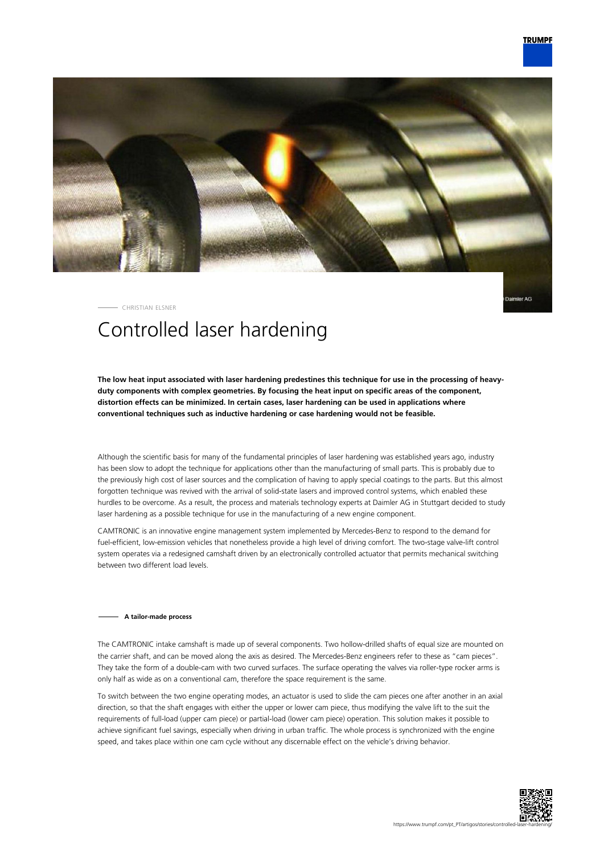

mler AG

#### CHRISTIAN ELSNER

# Controlled laser hardening

**The low heat input associated with laser hardening predestines this technique for use in the processing of heavyduty components with complex geometries. By focusing the heat input on specific areas of the component, distortion effects can be minimized. In certain cases, laser hardening can be used in applications where conventional techniques such as inductive hardening or case hardening would not be feasible.**

Although the scientific basis for many of the fundamental principles of laser hardening was established years ago, industry has been slow to adopt the technique for applications other than the manufacturing of small parts. This is probably due to the previously high cost of laser sources and the complication of having to apply special coatings to the parts. But this almost forgotten technique was revived with the arrival of solid-state lasers and improved control systems, which enabled these hurdles to be overcome. As a result, the process and materials technology experts at Daimler AG in Stuttgart decided to study laser hardening as a possible technique for use in the manufacturing of a new engine component.

CAMTRONIC is an innovative engine management system implemented by Mercedes-Benz to respond to the demand for fuel-efficient, low-emission vehicles that nonetheless provide a high level of driving comfort. The two-stage valve-lift control system operates via a redesigned camshaft driven by an electronically controlled actuator that permits mechanical switching between two different load levels.

#### **A tailor-made process**

The CAMTRONIC intake camshaft is made up of several components. Two hollow-drilled shafts of equal size are mounted on the carrier shaft, and can be moved along the axis as desired. The Mercedes-Benz engineers refer to these as "cam pieces". They take the form of a double-cam with two curved surfaces. The surface operating the valves via roller-type rocker arms is only half as wide as on a conventional cam, therefore the space requirement is the same.

To switch between the two engine operating modes, an actuator is used to slide the cam pieces one after another in an axial direction, so that the shaft engages with either the upper or lower cam piece, thus modifying the valve lift to the suit the requirements of full-load (upper cam piece) or partial-load (lower cam piece) operation. This solution makes it possible to achieve significant fuel savings, especially when driving in urban traffic. The whole process is synchronized with the engine speed, and takes place within one cam cycle without any discernable effect on the vehicle's driving behavior.

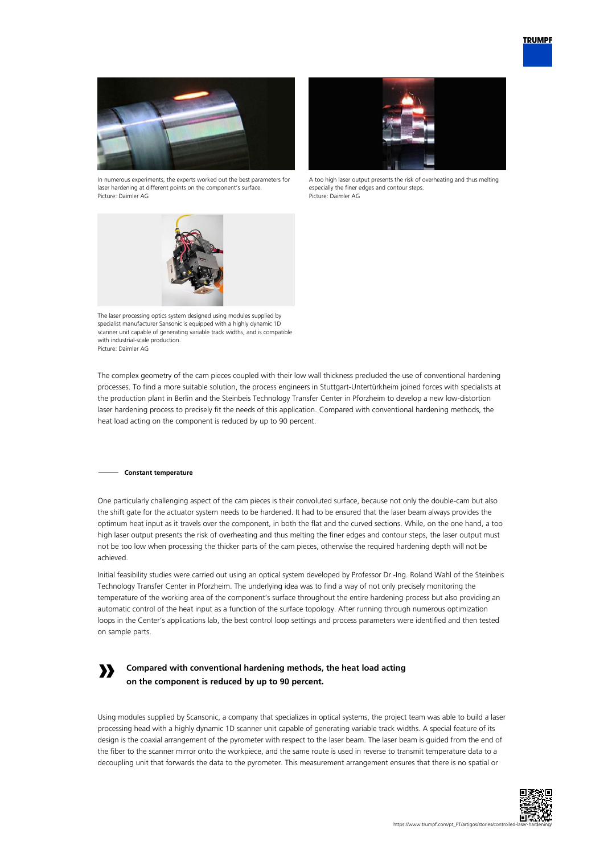



In numerous experiments, the experts worked out the best parameters for laser hardening at different points on the component's surface. Picture: Daimler AG



A too high laser output presents the risk of overheating and thus melting especially the finer edges and contour steps. Picture: Daimler AG



The laser processing optics system designed using modules supplied by specialist manufacturer Sansonic is equipped with a highly dynamic 1D scanner unit capable of generating variable track widths, and is compatible with industrial-scale production. Picture: Daimler AG

The complex geometry of the cam pieces coupled with their low wall thickness precluded the use of conventional hardening processes. To find a more suitable solution, the process engineers in Stuttgart-Untertürkheim joined forces with specialists at the production plant in Berlin and the Steinbeis Technology Transfer Center in Pforzheim to develop a new low-distortion laser hardening process to precisely fit the needs of this application. Compared with conventional hardening methods, the heat load acting on the component is reduced by up to 90 percent.

### **Constant temperature**

**»**

One particularly challenging aspect of the cam pieces is their convoluted surface, because not only the double-cam but also the shift gate for the actuator system needs to be hardened. It had to be ensured that the laser beam always provides the optimum heat input as it travels over the component, in both the flat and the curved sections. While, on the one hand, a too high laser output presents the risk of overheating and thus melting the finer edges and contour steps, the laser output must not be too low when processing the thicker parts of the cam pieces, otherwise the required hardening depth will not be achieved.

Initial feasibility studies were carried out using an optical system developed by Professor Dr.-Ing. Roland Wahl of the Steinbeis Technology Transfer Center in Pforzheim. The underlying idea was to find a way of not only precisely monitoring the temperature of the working area of the component's surface throughout the entire hardening process but also providing an automatic control of the heat input as a function of the surface topology. After running through numerous optimization loops in the Center's applications lab, the best control loop settings and process parameters were identified and then tested on sample parts.

## **Compared with conventional hardening methods, the heat load acting on the component is reduced by up to 90 percent.**

Using modules supplied by Scansonic, a company that specializes in optical systems, the project team was able to build a laser processing head with a highly dynamic 1D scanner unit capable of generating variable track widths. A special feature of its design is the coaxial arrangement of the pyrometer with respect to the laser beam. The laser beam is guided from the end of the fiber to the scanner mirror onto the workpiece, and the same route is used in reverse to transmit temperature data to a decoupling unit that forwards the data to the pyrometer. This measurement arrangement ensures that there is no spatial or

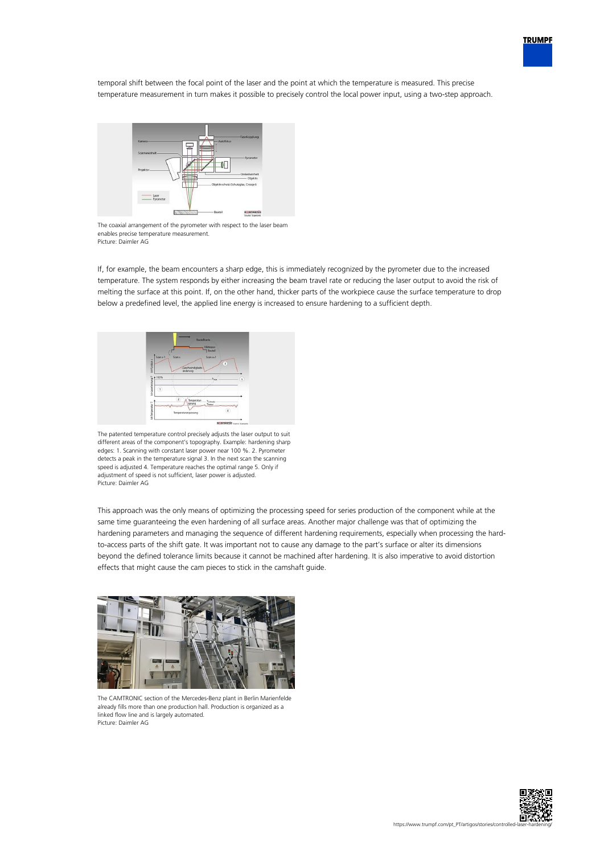

temporal shift between the focal point of the laser and the point at which the temperature is measured. This precise temperature measurement in turn makes it possible to precisely control the local power input, using a two-step approach.



The coaxial arrangement of the pyrometer with respect to the laser beam enables precise temperature measurement. Picture: Daimler AG

If, for example, the beam encounters a sharp edge, this is immediately recognized by the pyrometer due to the increased temperature. The system responds by either increasing the beam travel rate or reducing the laser output to avoid the risk of melting the surface at this point. If, on the other hand, thicker parts of the workpiece cause the surface temperature to drop below a predefined level, the applied line energy is increased to ensure hardening to a sufficient depth.



The patented temperature control precisely adjusts the laser output to suit different areas of the component's topography. Example: hardening sharp edges: 1. Scanning with constant laser power near 100 %. 2. Pyrometer detects a peak in the temperature signal 3. In the next scan the scanning speed is adjusted 4. Temperature reaches the optimal range 5. Only if adjustment of speed is not sufficient, laser power is adjusted. Picture: Daimler AG

This approach was the only means of optimizing the processing speed for series production of the component while at the same time guaranteeing the even hardening of all surface areas. Another major challenge was that of optimizing the hardening parameters and managing the sequence of different hardening requirements, especially when processing the hardto-access parts of the shift gate. It was important not to cause any damage to the part's surface or alter its dimensions beyond the defined tolerance limits because it cannot be machined after hardening. It is also imperative to avoid distortion effects that might cause the cam pieces to stick in the camshaft guide.



The CAMTRONIC section of the Mercedes-Benz plant in Berlin Marienfelde already fills more than one production hall. Production is organized as a linked flow line and is largely automated. Picture: Daimler AG